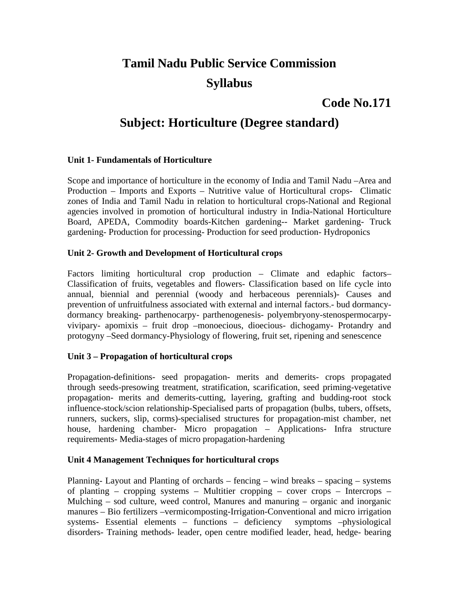# **Tamil Nadu Public Service Commission Syllabus**

# **Code No.171**

# **Subject: Horticulture (Degree standard)**

# **Unit 1- Fundamentals of Horticulture**

Scope and importance of horticulture in the economy of India and Tamil Nadu –Area and Production – Imports and Exports – Nutritive value of Horticultural crops- Climatic zones of India and Tamil Nadu in relation to horticultural crops-National and Regional agencies involved in promotion of horticultural industry in India-National Horticulture Board, APEDA, Commodity boards-Kitchen gardening-- Market gardening- Truck gardening- Production for processing- Production for seed production- Hydroponics

#### **Unit 2- Growth and Development of Horticultural crops**

Factors limiting horticultural crop production – Climate and edaphic factors– Classification of fruits, vegetables and flowers- Classification based on life cycle into annual, biennial and perennial (woody and herbaceous perennials)- Causes and prevention of unfruitfulness associated with external and internal factors.- bud dormancydormancy breaking- parthenocarpy- parthenogenesis- polyembryony-stenospermocarpyvivipary- apomixis – fruit drop –monoecious, dioecious- dichogamy- Protandry and protogyny –Seed dormancy-Physiology of flowering, fruit set, ripening and senescence

# **Unit 3 – Propagation of horticultural crops**

Propagation-definitions- seed propagation- merits and demerits- crops propagated through seeds-presowing treatment, stratification, scarification, seed priming-vegetative propagation- merits and demerits-cutting, layering, grafting and budding-root stock influence-stock/scion relationship-Specialised parts of propagation (bulbs, tubers, offsets, runners, suckers, slip, corms)-specialised structures for propagation-mist chamber, net house, hardening chamber- Micro propagation – Applications- Infra structure requirements- Media-stages of micro propagation-hardening

#### **Unit 4 Management Techniques for horticultural crops**

Planning- Layout and Planting of orchards – fencing – wind breaks – spacing – systems of planting – cropping systems – Multitier cropping – cover crops – Intercrops – Mulching – sod culture, weed control, Manures and manuring – organic and inorganic manures – Bio fertilizers –vermicomposting-Irrigation-Conventional and micro irrigation systems- Essential elements – functions – deficiency symptoms –physiological disorders- Training methods- leader, open centre modified leader, head, hedge- bearing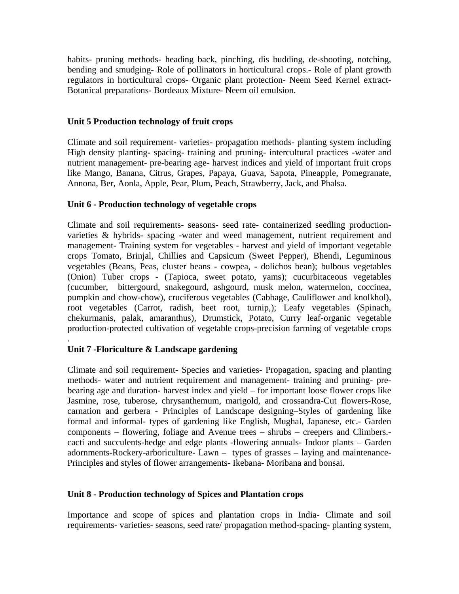habits- pruning methods- heading back, pinching, dis budding, de-shooting, notching, bending and smudging- Role of pollinators in horticultural crops.- Role of plant growth regulators in horticultural crops- Organic plant protection- Neem Seed Kernel extract-Botanical preparations- Bordeaux Mixture- Neem oil emulsion.

### **Unit 5 Production technology of fruit crops**

Climate and soil requirement- varieties- propagation methods- planting system including High density planting- spacing- training and pruning- intercultural practices -water and nutrient management- pre-bearing age- harvest indices and yield of important fruit crops like Mango, Banana, Citrus, Grapes, Papaya, Guava, Sapota, Pineapple, Pomegranate, Annona, Ber, Aonla, Apple, Pear, Plum, Peach, Strawberry, Jack, and Phalsa.

### **Unit 6 - Production technology of vegetable crops**

Climate and soil requirements- seasons- seed rate- containerized seedling productionvarieties & hybrids- spacing -water and weed management, nutrient requirement and management- Training system for vegetables - harvest and yield of important vegetable crops Tomato, Brinjal, Chillies and Capsicum (Sweet Pepper), Bhendi, Leguminous vegetables (Beans, Peas, cluster beans - cowpea, - dolichos bean); bulbous vegetables (Onion) Tuber crops - (Tapioca, sweet potato, yams); cucurbitaceous vegetables (cucumber, bittergourd, snakegourd, ashgourd, musk melon, watermelon, coccinea, pumpkin and chow-chow), cruciferous vegetables (Cabbage, Cauliflower and knolkhol), root vegetables (Carrot, radish, beet root, turnip,); Leafy vegetables (Spinach, chekurmanis, palak, amaranthus), Drumstick, Potato, Curry leaf-organic vegetable production-protected cultivation of vegetable crops-precision farming of vegetable crops

# **Unit 7 -Floriculture & Landscape gardening**

.

Climate and soil requirement- Species and varieties- Propagation, spacing and planting methods- water and nutrient requirement and management- training and pruning- prebearing age and duration- harvest index and yield – for important loose flower crops like Jasmine, rose, tuberose, chrysanthemum, marigold, and crossandra-Cut flowers-Rose, carnation and gerbera - Principles of Landscape designing–Styles of gardening like formal and informal- types of gardening like English, Mughal, Japanese, etc.- Garden components – flowering, foliage and Avenue trees – shrubs – creepers and Climbers. cacti and succulents-hedge and edge plants -flowering annuals- Indoor plants – Garden adornments-Rockery-arboriculture- Lawn – types of grasses – laying and maintenance-Principles and styles of flower arrangements- Ikebana- Moribana and bonsai.

#### **Unit 8 - Production technology of Spices and Plantation crops**

Importance and scope of spices and plantation crops in India- Climate and soil requirements- varieties- seasons, seed rate/ propagation method-spacing- planting system,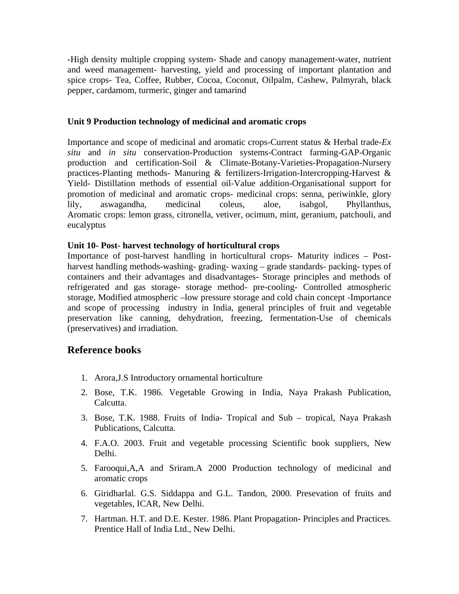-High density multiple cropping system- Shade and canopy management-water, nutrient and weed management- harvesting, yield and processing of important plantation and spice crops- Tea, Coffee, Rubber, Cocoa, Coconut, Oilpalm, Cashew, Palmyrah, black pepper, cardamom, turmeric, ginger and tamarind

#### **Unit 9 Production technology of medicinal and aromatic crops**

Importance and scope of medicinal and aromatic crops-Current status & Herbal trade-*Ex situ* and *in situ* conservation-Production systems-Contract farming-GAP-Organic production and certification-Soil & Climate-Botany-Varieties-Propagation-Nursery practices-Planting methods- Manuring & fertilizers-Irrigation-Intercropping-Harvest & Yield- Distillation methods of essential oil-Value addition-Organisational support for promotion of medicinal and aromatic crops- medicinal crops: senna, periwinkle, glory lily, aswagandha, medicinal coleus, aloe, isabgol, Phyllanthus, Aromatic crops: lemon grass, citronella, vetiver, ocimum, mint, geranium, patchouli, and eucalyptus

### **Unit 10- Post- harvest technology of horticultural crops**

Importance of post-harvest handling in horticultural crops- Maturity indices – Postharvest handling methods-washing- grading- waxing – grade standards- packing- types of containers and their advantages and disadvantages- Storage principles and methods of refrigerated and gas storage- storage method- pre-cooling- Controlled atmospheric storage, Modified atmospheric –low pressure storage and cold chain concept -Importance and scope of processing industry in India, general principles of fruit and vegetable preservation like canning, dehydration, freezing, fermentation-Use of chemicals (preservatives) and irradiation.

# **Reference books**

- 1. Arora,J.S Introductory ornamental horticulture
- 2. Bose, T.K. 1986. Vegetable Growing in India, Naya Prakash Publication, Calcutta.
- 3. Bose, T.K. 1988. Fruits of India- Tropical and Sub tropical, Naya Prakash Publications, Calcutta.
- 4. F.A.O. 2003. Fruit and vegetable processing Scientific book suppliers, New Delhi.
- 5. Farooqui,A,A and Sriram.A 2000 Production technology of medicinal and aromatic crops
- 6. Giridharlal. G.S. Siddappa and G.L. Tandon, 2000. Presevation of fruits and vegetables, ICAR, New Delhi.
- 7. Hartman. H.T. and D.E. Kester. 1986. Plant Propagation- Principles and Practices. Prentice Hall of India Ltd., New Delhi.